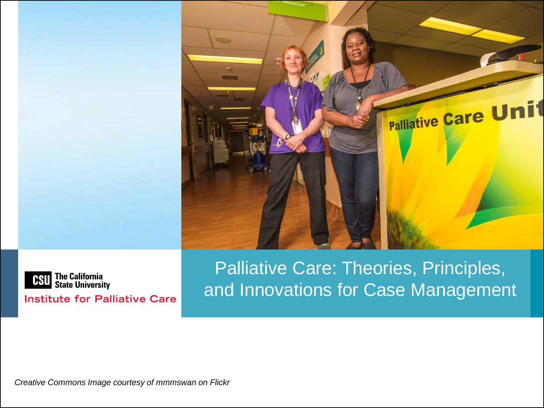



**Institute for Palliative Care** 

Palliative Care: Theories, Principles, and Innovations for Case Management

*Creative Commons Image courtesy of mmmswan on Flickr*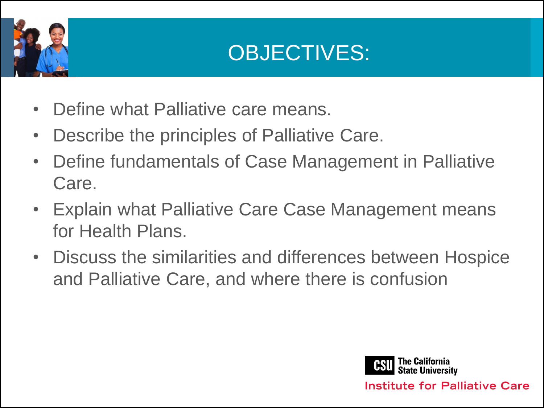

### OBJECTIVES:

- Define what Palliative care means.
- Describe the principles of Palliative Care.
- Define fundamentals of Case Management in Palliative Care.
- Explain what Palliative Care Case Management means for Health Plans.
- Discuss the similarities and differences between Hospice and Palliative Care, and where there is confusion

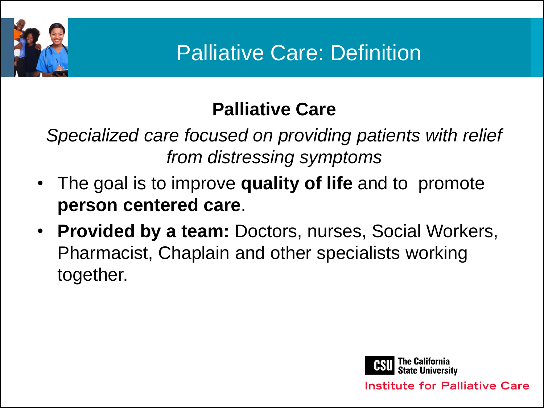

### Palliative Care: Definition

#### **Palliative Care**

*Specialized care focused on providing patients with relief from distressing symptoms*

- The goal is to improve **quality of life** and to promote **person centered care**.
- **Provided by a team:** Doctors, nurses, Social Workers, Pharmacist, Chaplain and other specialists working together.

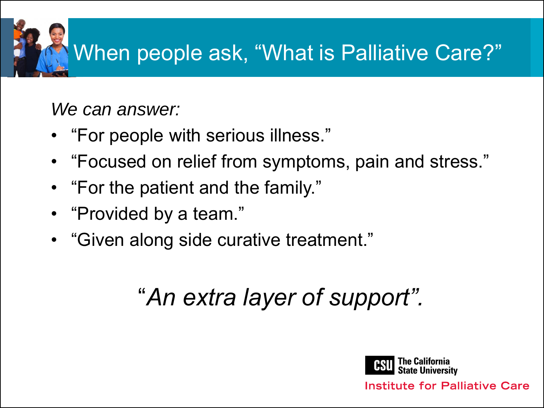

*We can answer:*

- "For people with serious illness."
- "Focused on relief from symptoms, pain and stress."
- "For the patient and the family."
- "Provided by a team."
- "Given along side curative treatment."

## "*An extra layer of support".*

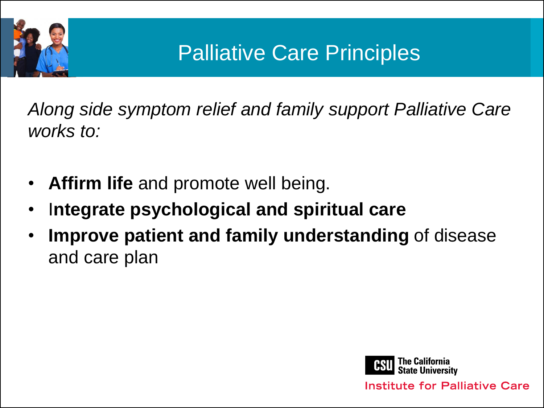

### Palliative Care Principles

*Along side symptom relief and family support Palliative Care works to:*

- **Affirm life** and promote well being.
- I**ntegrate psychological and spiritual care**
- **Improve patient and family understanding** of disease and care plan

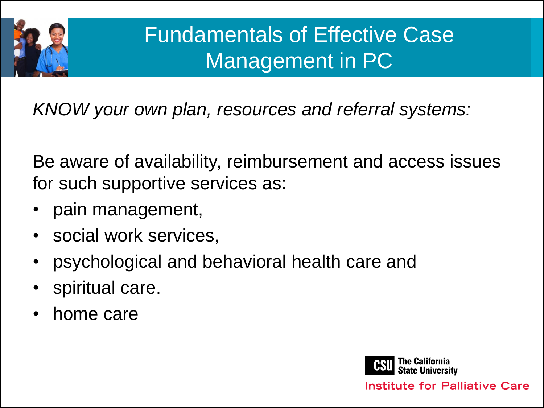

### Fundamentals of Effective Case Management in PC

*KNOW your own plan, resources and referral systems:*

Be aware of availability, reimbursement and access issues for such supportive services as:

- pain management,
- social work services,
- psychological and behavioral health care and
- spiritual care.
- home care

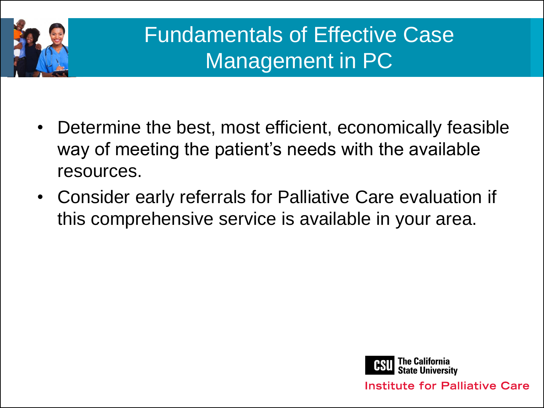

### Fundamentals of Effective Case Management in PC

- Determine the best, most efficient, economically feasible way of meeting the patient's needs with the available resources.
- Consider early referrals for Palliative Care evaluation if this comprehensive service is available in your area.

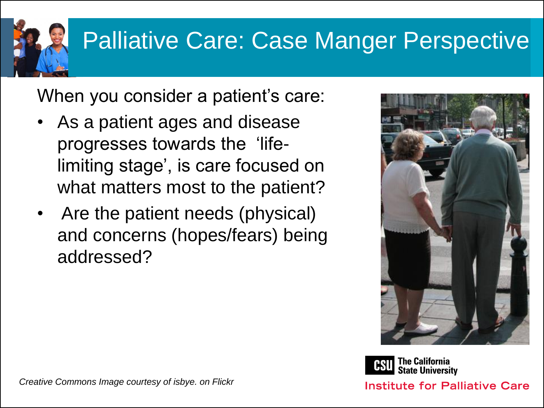## Palliative Care: Case Manger Perspective

When you consider a patient's care:

- As a patient ages and disease progresses towards the 'lifelimiting stage', is care focused on what matters most to the patient?
- Are the patient needs (physical) and concerns (hopes/fears) being addressed?



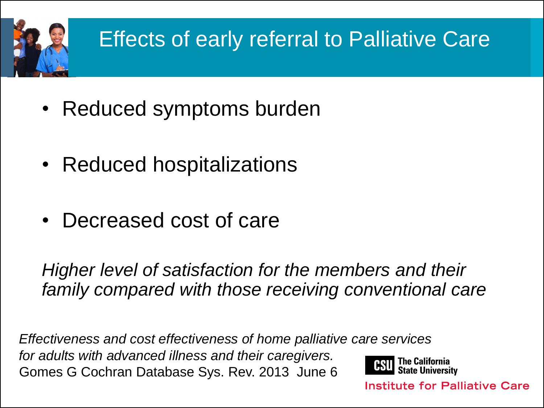

- Reduced symptoms burden
- Reduced hospitalizations
- Decreased cost of care

*Higher level of satisfaction for the members and their family compared with those receiving conventional care*

*Effectiveness and cost effectiveness of home palliative care services for adults with advanced illness and their caregivers.* Gomes G Cochran Database Sys. Rev. 2013 June 6

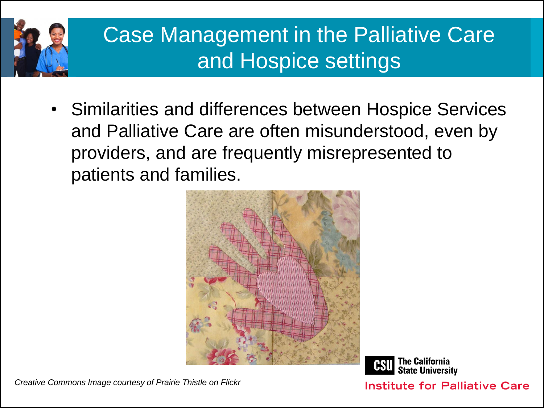

### Case Management in the Palliative Care and Hospice settings

• Similarities and differences between Hospice Services and Palliative Care are often misunderstood, even by providers, and are frequently misrepresented to patients and families.



*Creative Commons Image courtesy of Prairie Thistle on Flickr*

**The California<br>State University**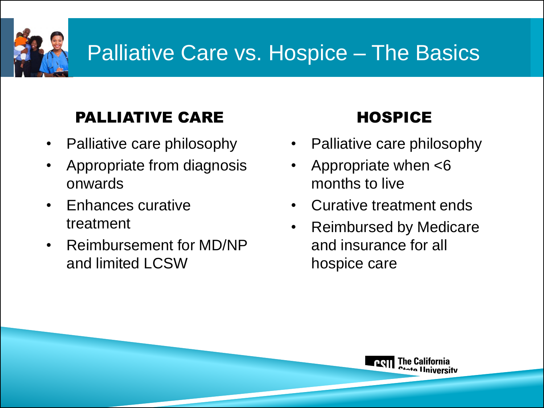### Palliative Care vs. Hospice – The Basics

#### PALLIATIVE CARE HOSPICE

- Palliative care philosophy
- Appropriate from diagnosis onwards
- Enhances curative treatment
- Reimbursement for MD/NP and limited LCSW

- Palliative care philosophy
- Appropriate when <6 months to live
- Curative treatment ends
- Reimbursed by Medicare and insurance for all hospice care

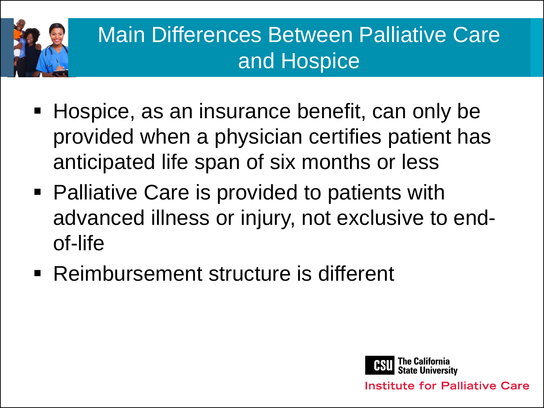

### Main Differences Between Palliative Care and Hospice

- Hospice, as an insurance benefit, can only be provided when a physician certifies patient has anticipated life span of six months or less
- Palliative Care is provided to patients with advanced illness or injury, not exclusive to endof-life
- Reimbursement structure is different

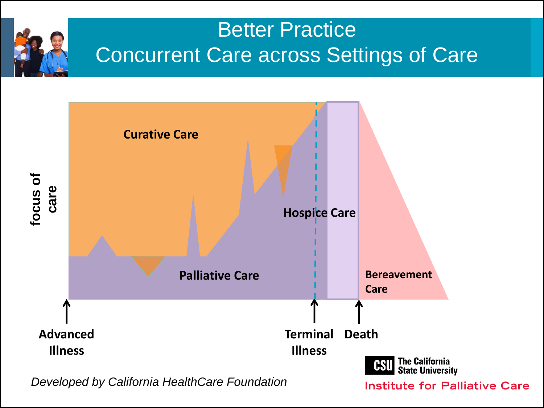

### Better Practice Concurrent Care across Settings of Care



*Developed by California HealthCare Foundation*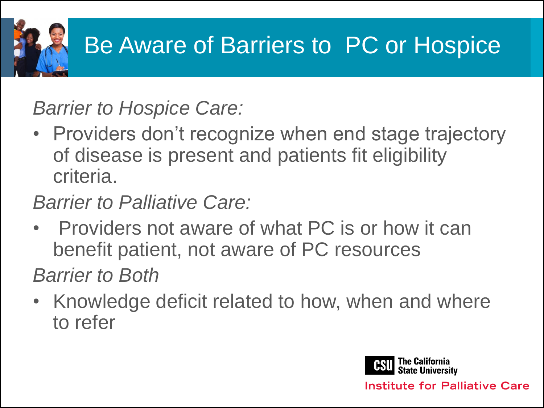

### Be Aware of Barriers to PC or Hospice

*Barrier to Hospice Care:* 

• Providers don't recognize when end stage trajectory of disease is present and patients fit eligibility criteria.

*Barrier to Palliative Care:* 

• Providers not aware of what PC is or how it can benefit patient, not aware of PC resources

*Barrier to Both*

• Knowledge deficit related to how, when and where to refer

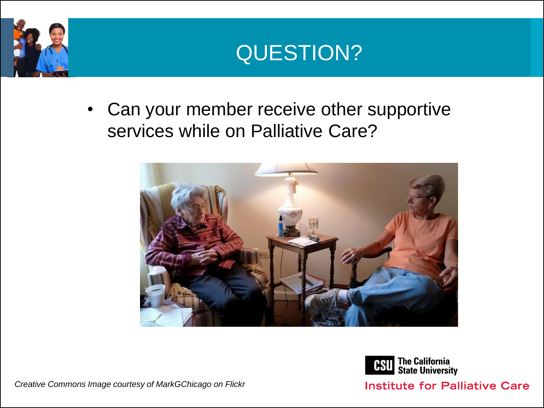



• Can your member receive other supportive services while on Palliative Care?





**Institute for Palliative Care** 

*Creative Commons Image courtesy of MarkGChicago on Flickr*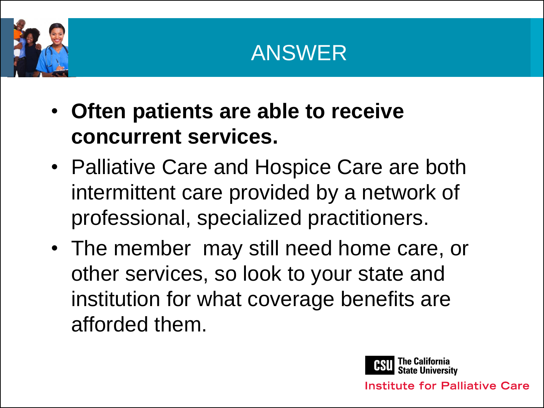



- **Often patients are able to receive concurrent services.**
- Palliative Care and Hospice Care are both intermittent care provided by a network of professional, specialized practitioners.
- The member may still need home care, or other services, so look to your state and institution for what coverage benefits are afforded them.

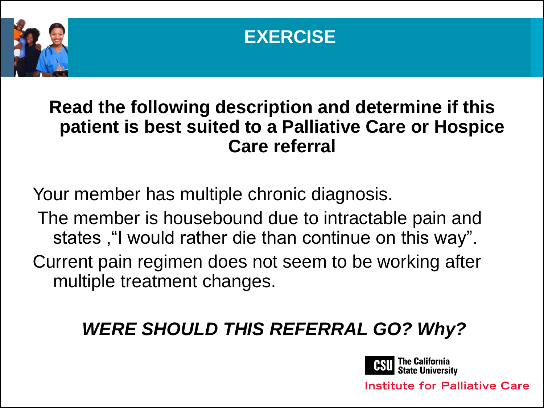



#### **Read the following description and determine if this patient is best suited to a Palliative Care or Hospice Care referral**

Your member has multiple chronic diagnosis.

The member is housebound due to intractable pain and states ,"I would rather die than continue on this way".

Current pain regimen does not seem to be working after multiple treatment changes.

### *WERE SHOULD THIS REFERRAL GO? Why?*

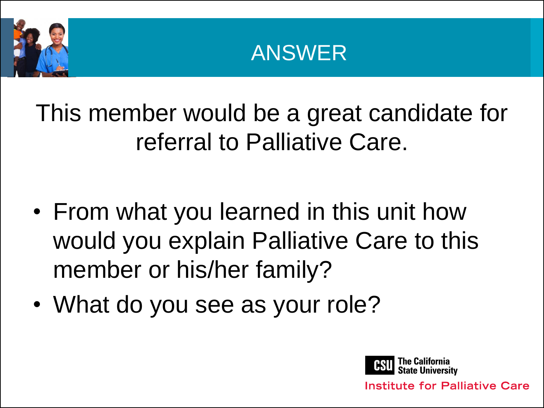



This member would be a great candidate for referral to Palliative Care.

- From what you learned in this unit how would you explain Palliative Care to this member or his/her family?
- What do you see as your role?

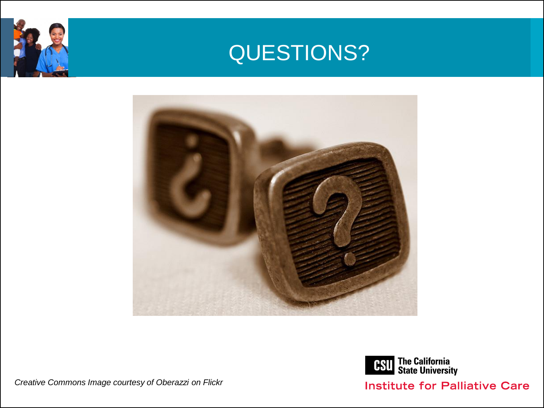







#### **Institute for Palliative Care**

*Creative Commons Image courtesy of Oberazzi on Flickr*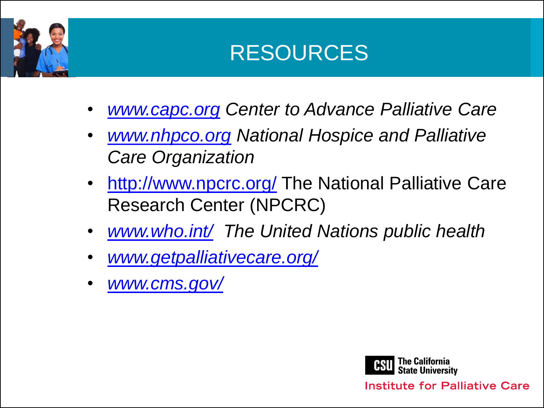

### RESOURCES

- *[www.capc.org](http://www.capc.org/) Center to Advance Palliative Care*
- *[www.nhpco.org](http://www.nhpco.org/) National Hospice and Palliative Care Organization*
- <http://www.npcrc.org/> The National Palliative Care Research Center (NPCRC)
- *[www.who.int/](http://www.who.int/) The United Nations public health*
- *[www.getpalliativecare.org/](http://www.getpalliativecare.org/)*
- *[www.cms.gov/](http://www.cms.gov/)*